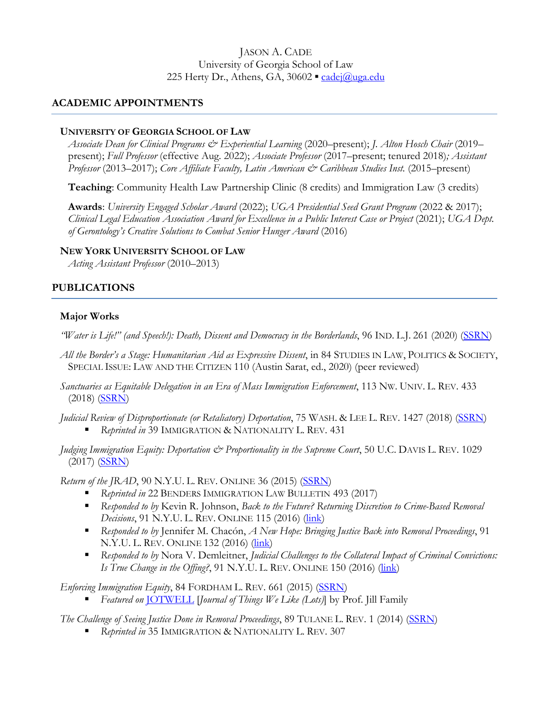## JASON A. CADE University of Georgia School of Law 225 Herty Dr., Athens, GA, 30602 · [cadej@uga.edu](mailto:cadej@uga.edu)

# **ACADEMIC APPOINTMENTS**

## **UNIVERSITY OF GEORGIA SCHOOL OF LAW**

*Associate Dean for Clinical Programs & Experiential Learning* (2020–present); *J. Alton Hosch Chair* (2019– present); *Full Professor* (effective Aug. 2022); *Associate Professor* (2017–present; tenured 2018)*; Assistant Professor* (2013–2017); *Core Affiliate Faculty, Latin American & Caribbean Studies Inst.* (2015–present)

**Teaching**: Community Health Law Partnership Clinic (8 credits) and Immigration Law (3 credits)

**Awards**: *University Engaged Scholar Award* (2022); *UGA Presidential Seed Grant Program* (2022 & 2017); *Clinical Legal Education Association Award for Excellence in a Public Interest Case or Project* (2021); *UGA Dept. of Gerontology's Creative Solutions to Combat Senior Hunger Award* (2016)

## **NEW YORK UNIVERSITY SCHOOL OF LAW**

*Acting Assistant Professor* (2010–2013)

# **PUBLICATIONS**

## **Major Works**

*"Water is Life!" (and Speech!): Death, Dissent and Democracy in the Borderlands*, 96 IND. L.J. 261 (2020) [\(SSRN\)](https://papers.ssrn.com/sol3/papers.cfm?abstract_id=3592882)

- *All the Border's a Stage: Humanitarian Aid as Expressive Dissent*, in 84 STUDIES IN LAW, POLITICS & SOCIETY, SPECIAL ISSUE: LAW AND THE CITIZEN 110 (Austin Sarat, ed., 2020) (peer reviewed)
- *Sanctuaries as Equitable Delegation in an Era of Mass Immigration Enforcement*, 113 NW. UNIV. L. REV. 433 (2018) [\(SSRN\)](https://papers.ssrn.com/sol3/papers.cfm?abstract_id=3053609)
- *Judicial Review of Disproportionate (or Retaliatory) Deportation*, 75 WASH. & LEE L. REV. 1427 (2018) [\(SSRN\)](https://papers.ssrn.com/sol3/papers.cfm?abstract_id=3170751) *Reprinted in* 39 IMMIGRATION & NATIONALITY L. REV. 431
- *Judging Immigration Equity: Deportation*  $\mathcal O$  *Proportionality in the Supreme Court*, 50 U.C. DAVIS L. REV. 1029 (2017) [\(SSRN\)](https://papers.ssrn.com/sol3/papers.cfm?abstract_id=2834088)

*Return of the JRAD*, 90 N.Y.U. L. REV. ONLINE 36 (2015) [\(SSRN\)](https://papers.ssrn.com/sol3/papers.cfm?abstract_id=2669862)

- *Reprinted in* 22 BENDERS IMMIGRATION LAW BULLETIN 493 (2017)
- *Responded to by* Kevin R. Johnson, *Back to the Future? Returning Discretion to Crime-Based Removal Decisions*, 91 N.Y.U. L. REV. ONLINE 115 (2016) (*link*)
- *Responded to by* Jennifer M. Chacón, *A New Hope: Bringing Justice Back into Removal Proceedings*, 91 N.Y.U. L. REV. ONLINE 132 (2016) [\(link\)](http://www.nyulawreview.org/sites/default/files/NYULawReview-91-Chacon_0.pdf)
- *Responded to by* Nora V. Demleitner, *Judicial Challenges to the Collateral Impact of Criminal Convictions: Is True Change in the Offing?*, 91 N.Y.U. L. REV. ONLINE 150 (2016) (*link*)

*Enforcing Immigration Equity*, 84 FORDHAM L. REV. 661 (2015) [\(SSRN\)](https://papers.ssrn.com/sol3/papers.cfm?abstract_id=2614149)

*Featured on* [JOTWELL](http://lex.jotwell.com/a-need-for-equity-in-immigration-law-congress-are-you-listening/) [*Journal of Things We Like (Lots)*] by Prof. Jill Family

*The Challenge of Seeing Justice Done in Removal Proceedings*, 89 TULANE L. REV. 1 (2014) [\(SSRN\)](https://papers.ssrn.com/sol3/papers.cfm?abstract_id=2514474)

*Reprinted in* 35 IMMIGRATION & NATIONALITY L. REV. 307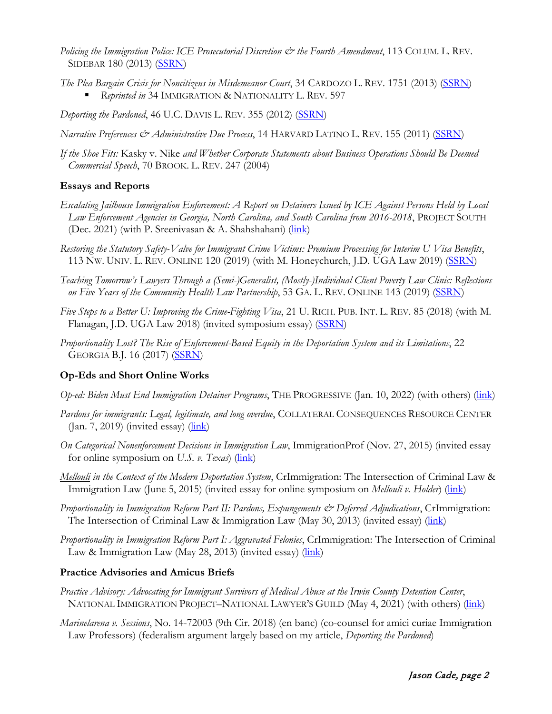- *Policing the Immigration Police: ICE Prosecutorial Discretion & the Fourth Amendment*, 113 COLUM. L. REV. SIDEBAR 180 (2013) [\(SSRN\)](https://papers.ssrn.com/sol3/papers.cfm?abstract_id=2343710)
- *The Plea Bargain Crisis for Noncitizens in Misdemeanor Court*, 34 CARDOZO L. REV. 1751 (2013) [\(SSRN\)](https://papers.ssrn.com/sol3/papers.cfm?abstract_id=2154920) *Reprinted in* 34 IMMIGRATION & NATIONALITY L. REV. 597

*Deporting the Pardoned*, 46 U.C. DAVIS L. REV. 355 (2012) [\(SSRN\)](https://papers.ssrn.com/sol3/papers.cfm?abstract_id=2070293)

- *Narrative Preferences & Administrative Due Process*, 14 HARVARD LATINO L. REV. 155 (2011) [\(SSRN\)](https://papers.ssrn.com/sol3/papers.cfm?abstract_id=1892313)
- *If the Shoe Fits:* Kasky v. Nike *and Whether Corporate Statements about Business Operations Should Be Deemed Commercial Speech*, 70 BROOK. L. REV. 247 (2004)

## **Essays and Reports**

- *Escalating Jailhouse Immigration Enforcement: A Report on Detainers Issued by ICE Against Persons Held by Local Law Enforcement Agencies in Georgia, North Carolina, and South Carolina from 2016-2018*, PROJECT SOUTH (Dec. 2021) (with P. Sreenivasan & A. Shahshahani) (*link*)
- *Restoring the Statutory Safety-Valve for Immigrant Crime Victims: Premium Processing for Interim U Visa Benefits*, 113 NW. UNIV. L. REV. ONLINE 120 (2019) (with M. Honeychurch, J.D. UGA Law 2019) [\(SSRN\)](https://papers.ssrn.com/sol3/papers.cfm?abstract_id=3283689)
- *Teaching Tomorrow's Lawyers Through a (Semi-)Generalist, (Mostly-)Individual Client Poverty Law Clinic: Reflections on Five Years of the Community Health Law Partnership*, 53 GA. L. REV. ONLINE 143 (2019) [\(SSRN\)](https://papers.ssrn.com/sol3/papers.cfm?abstract_id=3398672)
- *Five Steps to a Better U: Improving the Crime-Fighting Visa*, 21 U. RICH. PUB. INT. L. REV. 85 (2018) (with M. Flanagan, J.D. UGA Law 2018) (invited symposium essay) [\(SSRN\)](https://papers.ssrn.com/sol3/papers.cfm?abstract_id=3123779)
- *Proportionality Lost? The Rise of Enforcement-Based Equity in the Deportation System and its Limitations*, 22 GEORGIA B.J. 16 (2017) [\(SSRN\)](https://papers.ssrn.com/sol3/papers.cfm?abstract_id=2954013)

## **Op-Eds and Short Online Works**

- *Op-ed: Biden Must End Immigration Detainer Programs*, THE PROGRESSIVE (Jan. 10, 2022) (with others) [\(link\)](https://progressive.org/op-eds/biden-immigration-detainer-cade-shahshahani-sreenivasan-220110/)
- *Pardons for immigrants: Legal, legitimate, and long overdue*, COLLATERAL CONSEQUENCES RESOURCE CENTER  $(Jan. 7, 2019)$  (invited essay)  $(link)$
- *On Categorical Nonenforcement Decisions in Immigration Law*, ImmigrationProf (Nov. 27, 2015) (invited essay for online symposium on *U.S. v. Texas*) [\(link\)](http://lawprofessors.typepad.com/immigration/2015/11/on-line-symposium-on-texas-v-united-states-.html)
- *Mellouli in the Context of the Modern Deportation System*, CrImmigration: The Intersection of Criminal Law & Immigration Law (June 5, 2015) (invited essay for online symposium on *Mellouli v. Holder*) [\(link\)](http://crimmigration.com/2015/06/05/mellouli-in-the-context-of-the-modern-deportation-system/)
- *Proportionality in Immigration Reform Part II: Pardons, Expungements & Deferred Adjudications*, CrImmigration: The Intersection of Criminal Law & Immigration Law (May 30, 2013) (invited essay) (*link*)
- *Proportionality in Immigration Reform Part I: Aggravated Felonies*, CrImmigration: The Intersection of Criminal Law & Immigration Law (May 28, 2013) (invited essay) (*link*)

### **Practice Advisories and Amicus Briefs**

- *Practice Advisory: Advocating for Immigrant Survivors of Medical Abuse at the Irwin County Detention Center*, NATIONAL IMMIGRATION PROJECT–NATIONAL LAWYER'S GUILD (May 4, 2021) (with others) (*link*)
- *Marinelarena v. Sessions*, No. 14-72003 (9th Cir. 2018) (en banc) (co-counsel for amici curiae Immigration Law Professors) (federalism argument largely based on my article, *Deporting the Pardoned*)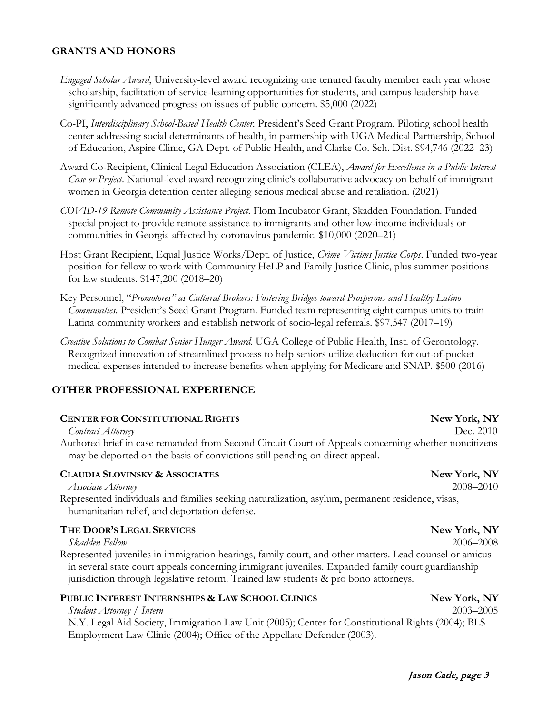## **GRANTS AND HONORS**

- *Engaged Scholar Award*, University-level award recognizing one tenured faculty member each year whose scholarship, facilitation of service-learning opportunities for students, and campus leadership have significantly advanced progress on issues of public concern. \$5,000 (2022)
- Co-PI, *Interdisciplinary School-Based Health Center.* President's Seed Grant Program. Piloting school health center addressing social determinants of health, in partnership with UGA Medical Partnership, School of Education, Aspire Clinic, GA Dept. of Public Health, and Clarke Co. Sch. Dist. \$94,746 (2022–23)
- Award Co-Recipient, Clinical Legal Education Association (CLEA), *Award for Excellence in a Public Interest Case or Project*. National-level award recognizing clinic's collaborative advocacy on behalf of immigrant women in Georgia detention center alleging serious medical abuse and retaliation. (2021)
- *COVID-19 Remote Community Assistance Project*. Flom Incubator Grant, Skadden Foundation. Funded special project to provide remote assistance to immigrants and other low-income individuals or communities in Georgia affected by coronavirus pandemic. \$10,000 (2020–21)
- Host Grant Recipient, Equal Justice Works/Dept. of Justice, *Crime Victims Justice Corps*. Funded two-year position for fellow to work with Community HeLP and Family Justice Clinic, plus summer positions for law students. \$147,200 (2018–20)
- Key Personnel, "*Promotores" as Cultural Brokers: Fostering Bridges toward Prosperous and Healthy Latino Communities*. President's Seed Grant Program. Funded team representing eight campus units to train Latina community workers and establish network of socio-legal referrals. \$97,547 (2017–19)
- *Creative Solutions to Combat Senior Hunger Award*. UGA College of Public Health, Inst. of Gerontology. Recognized innovation of streamlined process to help seniors utilize deduction for out-of-pocket medical expenses intended to increase benefits when applying for Medicare and SNAP. \$500 (2016)

### **OTHER PROFESSIONAL EXPERIENCE**

#### **CENTER FOR CONSTITUTIONAL RIGHTS New York, NY**

#### *Contract Attorney* Dec. 2010

Authored brief in case remanded from Second Circuit Court of Appeals concerning whether noncitizens may be deported on the basis of convictions still pending on direct appeal.

#### **CLAUDIA SLOVINSKY & ASSOCIATES New York, NY**

*Associate Attorney* 2008–2010

Represented individuals and families seeking naturalization, asylum, permanent residence, visas, humanitarian relief, and deportation defense.

### **THE DOOR'S LEGAL SERVICES New York, NY**

*Skadden Fellow* 2006–2008

Represented juveniles in immigration hearings, family court, and other matters. Lead counsel or amicus in several state court appeals concerning immigrant juveniles. Expanded family court guardianship jurisdiction through legislative reform. Trained law students & pro bono attorneys.

### **PUBLIC INTEREST INTERNSHIPS & LAW SCHOOL CLINICS New York, NY**

*Student Attorney / Intern* 2003–2005 N.Y. Legal Aid Society, Immigration Law Unit (2005); Center for Constitutional Rights (2004); BLS Employment Law Clinic (2004); Office of the Appellate Defender (2003).

## Jason Cade, page 3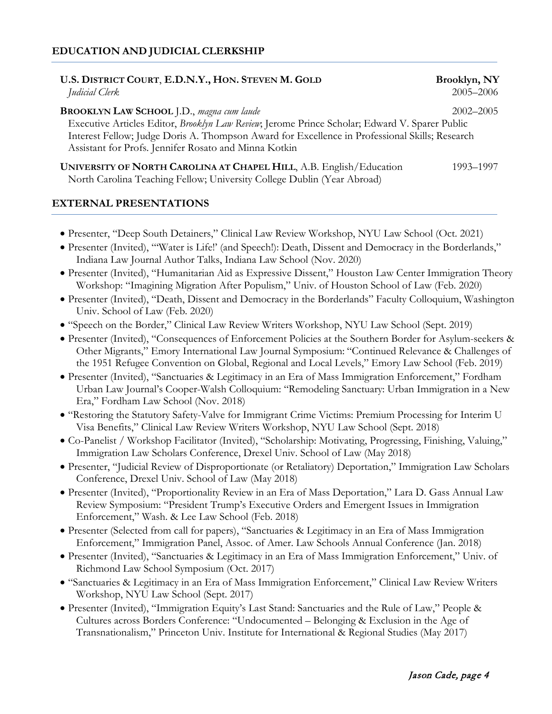## **EDUCATION AND JUDICIAL CLERKSHIP**

| U.S. DISTRICT COURT, E.D.N.Y., HON. STEVEN M. GOLD | Brooklyn, NY |
|----------------------------------------------------|--------------|
| Judicial Clerk                                     | 2005–2006    |
|                                                    |              |

**BROOKLYN LAW SCHOOL** J.D., *magna cum laude* 2002–2005 Executive Articles Editor, *Brooklyn Law Review*; Jerome Prince Scholar; Edward V. Sparer Public Interest Fellow; Judge Doris A. Thompson Award for Excellence in Professional Skills; Research Assistant for Profs. Jennifer Rosato and Minna Kotkin

**UNIVERSITY OF NORTH CAROLINA AT CHAPEL HILL, A.B. English/Education 1993–1997** North Carolina Teaching Fellow; University College Dublin (Year Abroad)

### **EXTERNAL PRESENTATIONS**

- Presenter, "Deep South Detainers," Clinical Law Review Workshop, NYU Law School (Oct. 2021)
- Presenter (Invited), "'Water is Life!' (and Speech!): Death, Dissent and Democracy in the Borderlands," Indiana Law Journal Author Talks, Indiana Law School (Nov. 2020)
- Presenter (Invited), "Humanitarian Aid as Expressive Dissent," Houston Law Center Immigration Theory Workshop: "Imagining Migration After Populism," Univ. of Houston School of Law (Feb. 2020)
- Presenter (Invited), "Death, Dissent and Democracy in the Borderlands" Faculty Colloquium, Washington Univ. School of Law (Feb. 2020)
- "Speech on the Border," Clinical Law Review Writers Workshop, NYU Law School (Sept. 2019)
- Presenter (Invited), "Consequences of Enforcement Policies at the Southern Border for Asylum-seekers & Other Migrants," Emory International Law Journal Symposium: "Continued Relevance & Challenges of the 1951 Refugee Convention on Global, Regional and Local Levels," Emory Law School (Feb. 2019)
- Presenter (Invited), "Sanctuaries & Legitimacy in an Era of Mass Immigration Enforcement," Fordham Urban Law Journal's Cooper-Walsh Colloquium: "Remodeling Sanctuary: Urban Immigration in a New Era," Fordham Law School (Nov. 2018)
- "Restoring the Statutory Safety-Valve for Immigrant Crime Victims: Premium Processing for Interim U Visa Benefits," Clinical Law Review Writers Workshop, NYU Law School (Sept. 2018)
- Co-Panelist / Workshop Facilitator (Invited), "Scholarship: Motivating, Progressing, Finishing, Valuing," Immigration Law Scholars Conference, Drexel Univ. School of Law (May 2018)
- Presenter, "Judicial Review of Disproportionate (or Retaliatory) Deportation," Immigration Law Scholars Conference, Drexel Univ. School of Law (May 2018)
- Presenter (Invited), "Proportionality Review in an Era of Mass Deportation," Lara D. Gass Annual Law Review Symposium: "President Trump's Executive Orders and Emergent Issues in Immigration Enforcement," Wash. & Lee Law School (Feb. 2018)
- Presenter (Selected from call for papers), "Sanctuaries & Legitimacy in an Era of Mass Immigration Enforcement," Immigration Panel, Assoc. of Amer. Law Schools Annual Conference (Jan. 2018)
- Presenter (Invited), "Sanctuaries & Legitimacy in an Era of Mass Immigration Enforcement," Univ. of Richmond Law School Symposium (Oct. 2017)
- "Sanctuaries & Legitimacy in an Era of Mass Immigration Enforcement," Clinical Law Review Writers Workshop, NYU Law School (Sept. 2017)
- Presenter (Invited), "Immigration Equity's Last Stand: Sanctuaries and the Rule of Law," People & Cultures across Borders Conference: "Undocumented – Belonging & Exclusion in the Age of Transnationalism," Princeton Univ. Institute for International & Regional Studies (May 2017)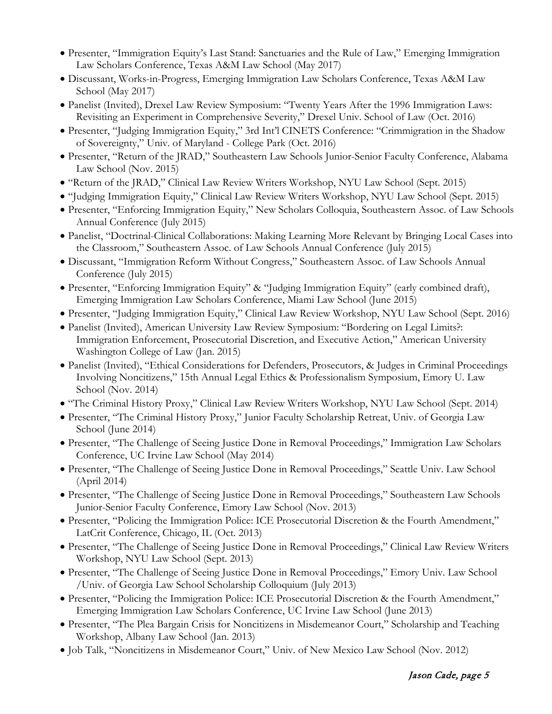- Presenter, "Immigration Equity's Last Stand: Sanctuaries and the Rule of Law," Emerging Immigration Law Scholars Conference, Texas A&M Law School (May 2017)
- Discussant, Works-in-Progress, Emerging Immigration Law Scholars Conference, Texas A&M Law School (May 2017)
- Panelist (Invited), Drexel Law Review Symposium: "Twenty Years After the 1996 Immigration Laws: Revisiting an Experiment in Comprehensive Severity," Drexel Univ. School of Law (Oct. 2016)
- Presenter, "Judging Immigration Equity," 3rd Int'l CINETS Conference: "Crimmigration in the Shadow of Sovereignty," Univ. of Maryland - College Park (Oct. 2016)
- Presenter, "Return of the JRAD," Southeastern Law Schools Junior-Senior Faculty Conference, Alabama Law School (Nov. 2015)
- "Return of the JRAD," Clinical Law Review Writers Workshop, NYU Law School (Sept. 2015)
- "Judging Immigration Equity," Clinical Law Review Writers Workshop, NYU Law School (Sept. 2015)
- Presenter, "Enforcing Immigration Equity," New Scholars Colloquia, Southeastern Assoc. of Law Schools Annual Conference (July 2015)
- Panelist, "Doctrinal-Clinical Collaborations: Making Learning More Relevant by Bringing Local Cases into the Classroom," Southeastern Assoc. of Law Schools Annual Conference (July 2015)
- Discussant, "Immigration Reform Without Congress," Southeastern Assoc. of Law Schools Annual Conference (July 2015)
- Presenter, "Enforcing Immigration Equity" & "Judging Immigration Equity" (early combined draft), Emerging Immigration Law Scholars Conference, Miami Law School (June 2015)
- Presenter, "Judging Immigration Equity," Clinical Law Review Workshop, NYU Law School (Sept. 2016)
- Panelist (Invited), American University Law Review Symposium: "Bordering on Legal Limits?: Immigration Enforcement, Prosecutorial Discretion, and Executive Action," American University Washington College of Law (Jan. 2015)
- Panelist (Invited), "Ethical Considerations for Defenders, Prosecutors, & Judges in Criminal Proceedings Involving Noncitizens," 15th Annual Legal Ethics & Professionalism Symposium, Emory U. Law School (Nov. 2014)
- "The Criminal History Proxy," Clinical Law Review Writers Workshop, NYU Law School (Sept. 2014)
- Presenter, "The Criminal History Proxy," Junior Faculty Scholarship Retreat, Univ. of Georgia Law School (June 2014)
- Presenter, "The Challenge of Seeing Justice Done in Removal Proceedings," Immigration Law Scholars Conference, UC Irvine Law School (May 2014)
- Presenter, "The Challenge of Seeing Justice Done in Removal Proceedings," Seattle Univ. Law School (April 2014)
- Presenter, "The Challenge of Seeing Justice Done in Removal Proceedings," Southeastern Law Schools Junior-Senior Faculty Conference, Emory Law School (Nov. 2013)
- Presenter, "Policing the Immigration Police: ICE Prosecutorial Discretion & the Fourth Amendment," LatCrit Conference, Chicago, IL (Oct. 2013)
- Presenter, "The Challenge of Seeing Justice Done in Removal Proceedings," Clinical Law Review Writers Workshop, NYU Law School (Sept. 2013)
- Presenter, "The Challenge of Seeing Justice Done in Removal Proceedings," Emory Univ. Law School /Univ. of Georgia Law School Scholarship Colloquium (July 2013)
- Presenter, "Policing the Immigration Police: ICE Prosecutorial Discretion & the Fourth Amendment," Emerging Immigration Law Scholars Conference, UC Irvine Law School (June 2013)
- Presenter, "The Plea Bargain Crisis for Noncitizens in Misdemeanor Court," Scholarship and Teaching Workshop, Albany Law School (Jan. 2013)
- Job Talk, "Noncitizens in Misdemeanor Court," Univ. of New Mexico Law School (Nov. 2012)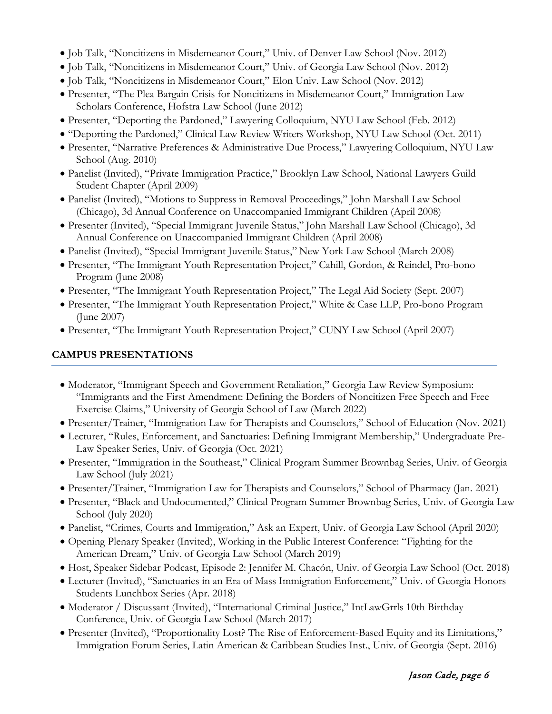- Job Talk, "Noncitizens in Misdemeanor Court," Univ. of Denver Law School (Nov. 2012)
- Job Talk, "Noncitizens in Misdemeanor Court," Univ. of Georgia Law School (Nov. 2012)
- Job Talk, "Noncitizens in Misdemeanor Court," Elon Univ. Law School (Nov. 2012)
- Presenter, "The Plea Bargain Crisis for Noncitizens in Misdemeanor Court," Immigration Law Scholars Conference, Hofstra Law School (June 2012)
- Presenter, "Deporting the Pardoned," Lawyering Colloquium, NYU Law School (Feb. 2012)
- "Deporting the Pardoned," Clinical Law Review Writers Workshop, NYU Law School (Oct. 2011)
- Presenter, "Narrative Preferences & Administrative Due Process," Lawyering Colloquium, NYU Law School (Aug. 2010)
- Panelist (Invited), "Private Immigration Practice," Brooklyn Law School, National Lawyers Guild Student Chapter (April 2009)
- Panelist (Invited), "Motions to Suppress in Removal Proceedings," John Marshall Law School (Chicago), 3d Annual Conference on Unaccompanied Immigrant Children (April 2008)
- Presenter (Invited), "Special Immigrant Juvenile Status," John Marshall Law School (Chicago), 3d Annual Conference on Unaccompanied Immigrant Children (April 2008)
- Panelist (Invited), "Special Immigrant Juvenile Status," New York Law School (March 2008)
- Presenter, "The Immigrant Youth Representation Project," Cahill, Gordon, & Reindel, Pro-bono Program (June 2008)
- Presenter, "The Immigrant Youth Representation Project," The Legal Aid Society (Sept. 2007)
- Presenter, "The Immigrant Youth Representation Project," White & Case LLP, Pro-bono Program (June 2007)
- Presenter, "The Immigrant Youth Representation Project," CUNY Law School (April 2007)

# **CAMPUS PRESENTATIONS**

- Moderator, "Immigrant Speech and Government Retaliation," Georgia Law Review Symposium: "Immigrants and the First Amendment: Defining the Borders of Noncitizen Free Speech and Free Exercise Claims," University of Georgia School of Law (March 2022)
- Presenter/Trainer, "Immigration Law for Therapists and Counselors," School of Education (Nov. 2021)
- Lecturer, "Rules, Enforcement, and Sanctuaries: Defining Immigrant Membership," Undergraduate Pre-Law Speaker Series, Univ. of Georgia (Oct. 2021)
- Presenter, "Immigration in the Southeast," Clinical Program Summer Brownbag Series, Univ. of Georgia Law School (July 2021)
- Presenter/Trainer, "Immigration Law for Therapists and Counselors," School of Pharmacy (Jan. 2021)
- Presenter, "Black and Undocumented," Clinical Program Summer Brownbag Series, Univ. of Georgia Law School (July 2020)
- Panelist, "Crimes, Courts and Immigration," Ask an Expert, Univ. of Georgia Law School (April 2020)
- Opening Plenary Speaker (Invited), Working in the Public Interest Conference: "Fighting for the American Dream," Univ. of Georgia Law School (March 2019)
- Host, Speaker Sidebar Podcast, Episode 2: Jennifer M. Chacón, Univ. of Georgia Law School (Oct. 2018)
- Lecturer (Invited), "Sanctuaries in an Era of Mass Immigration Enforcement," Univ. of Georgia Honors Students Lunchbox Series (Apr. 2018)
- Moderator / Discussant (Invited), "International Criminal Justice," IntLawGrrls 10th Birthday Conference, Univ. of Georgia Law School (March 2017)
- Presenter (Invited), "Proportionality Lost? The Rise of Enforcement-Based Equity and its Limitations," Immigration Forum Series, Latin American & Caribbean Studies Inst., Univ. of Georgia (Sept. 2016)